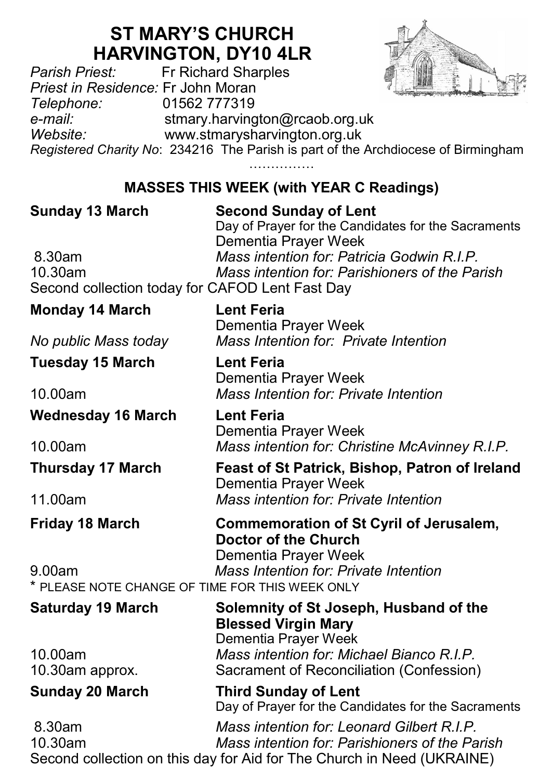# **ST MARY'S CHURCH HARVINGTON, DY10 4LR**<br>*Parish Priest:* Fr Richard Sharples



*Parish Priest:* Fr Richard Sharples *Priest in Residence:* Fr John Moran *Telephone:* 01562 777319 *e-mail:* stmary.harvington@rcaob.org.uk *Website:* www.stmarysharvington.org.uk *Registered Charity No*: 234216 The Parish is part of the Archdiocese of Birmingham

> ………………… **MASSES THIS WEEK (with YEAR C Readings)**

| <b>Sunday 13 March</b><br>8.30am<br>10.30am<br>Second collection today for CAFOD Lent Fast Day | <b>Second Sunday of Lent</b><br>Day of Prayer for the Candidates for the Sacraments<br>Dementia Prayer Week<br>Mass intention for: Patricia Godwin R.I.P.<br>Mass intention for: Parishioners of the Parish |
|------------------------------------------------------------------------------------------------|-------------------------------------------------------------------------------------------------------------------------------------------------------------------------------------------------------------|
| <b>Monday 14 March</b>                                                                         | <b>Lent Feria</b>                                                                                                                                                                                           |
|                                                                                                | Dementia Prayer Week                                                                                                                                                                                        |
| No public Mass today                                                                           | Mass Intention for: Private Intention                                                                                                                                                                       |
| <b>Tuesday 15 March</b>                                                                        | <b>Lent Feria</b><br>Dementia Prayer Week                                                                                                                                                                   |
| 10.00am                                                                                        | Mass Intention for: Private Intention                                                                                                                                                                       |
| <b>Wednesday 16 March</b>                                                                      | <b>Lent Feria</b><br>Dementia Prayer Week                                                                                                                                                                   |
| 10.00am                                                                                        | Mass intention for: Christine McAvinney R.I.P.                                                                                                                                                              |
| <b>Thursday 17 March</b>                                                                       | Feast of St Patrick, Bishop, Patron of Ireland<br>Dementia Prayer Week                                                                                                                                      |
| 11.00am                                                                                        | Mass intention for: Private Intention                                                                                                                                                                       |
| <b>Friday 18 March</b>                                                                         | Commemoration of St Cyril of Jerusalem,<br><b>Doctor of the Church</b><br>Dementia Prayer Week                                                                                                              |
| 9.00am                                                                                         | Mass Intention for: Private Intention                                                                                                                                                                       |
| * PLEASE NOTE CHANGE OF TIME FOR THIS WEEK ONLY                                                |                                                                                                                                                                                                             |
| <b>Saturday 19 March</b>                                                                       | Solemnity of St Joseph, Husband of the<br><b>Blessed Virgin Mary</b><br>Dementia Prayer Week                                                                                                                |
| 10.00am                                                                                        | Mass intention for: Michael Bianco R.I.P.                                                                                                                                                                   |
| 10.30am approx.                                                                                | Sacrament of Reconciliation (Confession)                                                                                                                                                                    |
| <b>Sunday 20 March</b>                                                                         | <b>Third Sunday of Lent</b><br>Day of Prayer for the Candidates for the Sacraments                                                                                                                          |
| 8.30am                                                                                         | Mass intention for: Leonard Gilbert R.I.P.                                                                                                                                                                  |
| 10.30am                                                                                        | Mass intention for: Parishioners of the Parish                                                                                                                                                              |
|                                                                                                | Second collection on this day for Aid for The Church in Need (UKRAINE)                                                                                                                                      |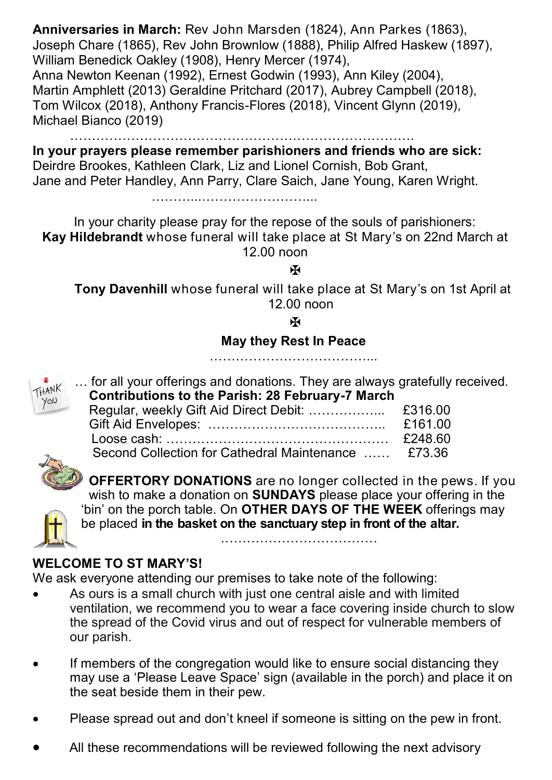**Anniversaries in March:** Rev John Marsden (1824), Ann Parkes (1863), Joseph Chare (1865), Rev John Brownlow (1888), Philip Alfred Haskew (1897), William Benedick Oakley (1908), Henry Mercer (1974), Anna Newton Keenan (1992), Ernest Godwin (1993), Ann Kiley (2004), Martin Amphlett (2013) Geraldine Pritchard (2017), Aubrey Campbell (2018), Tom Wilcox (2018), Anthony Francis-Flores (2018), Vincent Glynn (2019), Michael Bianco (2019)

…………………………………………………………………….

**In your prayers please remember parishioners and friends who are sick:**  Deirdre Brookes, Kathleen Clark, Liz and Lionel Cornish, Bob Grant, Jane and Peter Handley, Ann Parry, Clare Saich, Jane Young, Karen Wright.

………...……………………...

In your charity please pray for the repose of the souls of parishioners: **Kay Hildebrandt** whose funeral will take place at St Mary's on 22nd March at 12.00 noon

ж

**Tony Davenhill** whose funeral will take place at St Mary's on 1st April at 12.00 noon

Ж

#### **May they Rest In Peace**

……………………………………………



… for all your offerings and donations. They are always gratefully received.  **Contributions to the Parish: 28 February-7 March**

|                                                     | £161.00 |
|-----------------------------------------------------|---------|
|                                                     | £248.60 |
| Second Collection for Cathedral Maintenance  £73.36 |         |
|                                                     |         |



**OFFERTORY DONATIONS** are no longer collected in the pews. If you wish to make a donation on **SUNDAYS** please place your offering in the 'bin' on the porch table. On **OTHER DAYS OF THE WEEK** offerings may be placed **in the basket on the sanctuary step in front of the altar.** 

………………………………………

### **WELCOME TO ST MARY'S!**

We ask everyone attending our premises to take note of the following:

- As ours is a small church with just one central aisle and with limited ventilation, we recommend you to wear a face covering inside church to slow the spread of the Covid virus and out of respect for vulnerable members of our parish.
- If members of the congregation would like to ensure social distancing they may use a 'Please Leave Space' sign (available in the porch) and place it on the seat beside them in their pew.
- Please spread out and don't kneel if someone is sitting on the pew in front.
- All these recommendations will be reviewed following the next advisory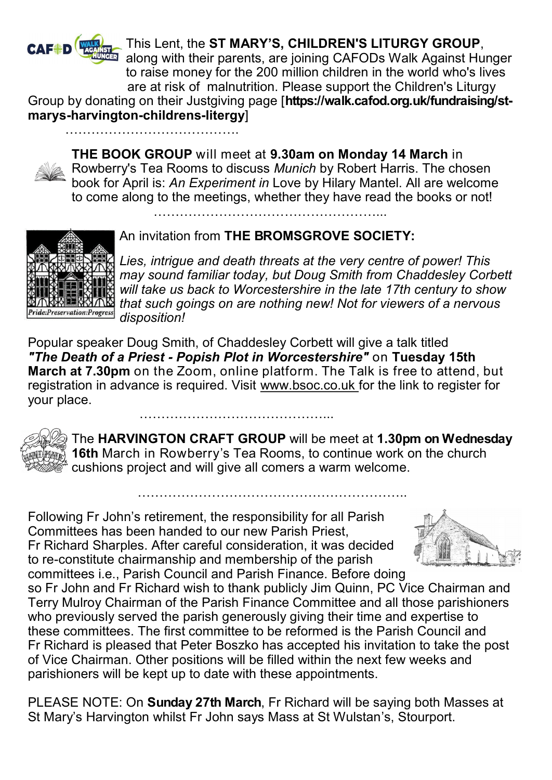

………………………………….

This Lent, the **ST MARY'S, CHILDREN'S LITURGY GROUP**, along with their parents, are joining CAFODs Walk Against Hunger to raise money for the 200 million children in the world who's lives are at risk of malnutrition. Please support the Children's Liturgy

Group by donating on their Justgiving page [**https://walk.cafod.org.uk/fundraising/stmarys-harvington-childrens-litergy**]

**THE BOOK GROUP** will meet at **9.30am on Monday 14 March** in Rowberry's Tea Rooms to discuss *Munich* by Robert Harris. The chosen book for April is: *An Experiment in* Love by Hilary Mantel. All are welcome to come along to the meetings, whether they have read the books or not!

……………………………………………...

## An invitation from **THE BROMSGROVE SOCIETY:**



*Lies, intrigue and death threats at the very centre of power! This may sound familiar today, but Doug Smith from Chaddesley Corbett will take us back to Worcestershire in the late 17th century to show that such goings on are nothing new! Not for viewers of a nervous disposition!*

Popular speaker Doug Smith, of Chaddesley Corbett will give a talk titled *"The Death of a Priest - Popish Plot in Worcestershire"* on **Tuesday 15th March at 7.30pm** on the Zoom, online platform. The Talk is free to attend, but registration in advance is required. Visit www.bsoc.co.uk for the link to register for your place.



The **HARVINGTON CRAFT GROUP** will be meet at **1.30pm on Wednesday 16th** March in Rowberry's Tea Rooms, to continue work on the church cushions project and will give all comers a warm welcome.

…………………………………………………………

Following Fr John's retirement, the responsibility for all Parish Committees has been handed to our new Parish Priest, Fr Richard Sharples. After careful consideration, it was decided to re-constitute chairmanship and membership of the parish committees i.e., Parish Council and Parish Finance. Before doing



so Fr John and Fr Richard wish to thank publicly Jim Quinn, PC Vice Chairman and Terry Mulroy Chairman of the Parish Finance Committee and all those parishioners who previously served the parish generously giving their time and expertise to these committees. The first committee to be reformed is the Parish Council and Fr Richard is pleased that Peter Boszko has accepted his invitation to take the post of Vice Chairman. Other positions will be filled within the next few weeks and parishioners will be kept up to date with these appointments.

PLEASE NOTE: On **Sunday 27th March**, Fr Richard will be saying both Masses at St Mary's Harvington whilst Fr John says Mass at St Wulstan's, Stourport.